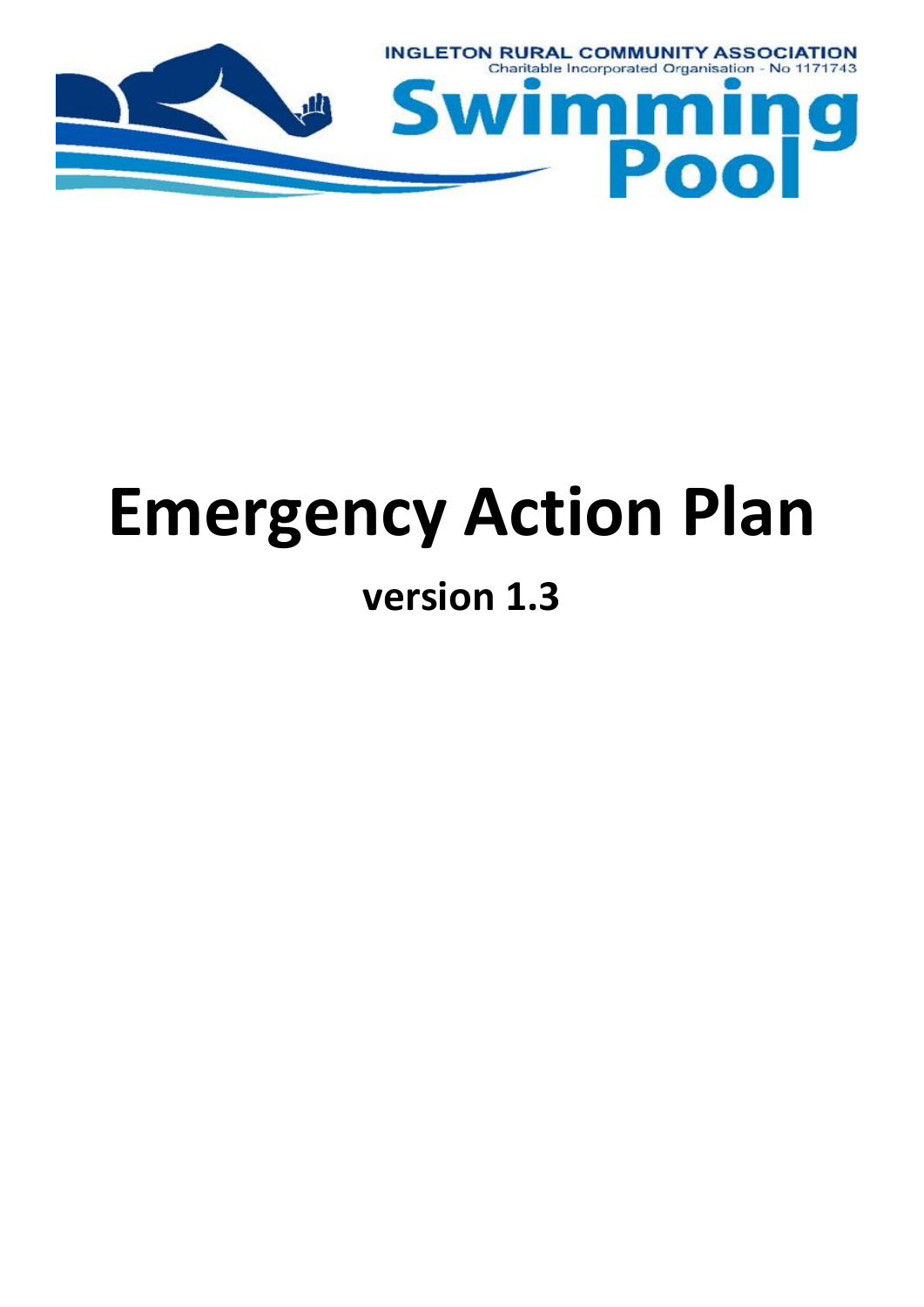

# **Emergency Action Plan**

### **version 1.3**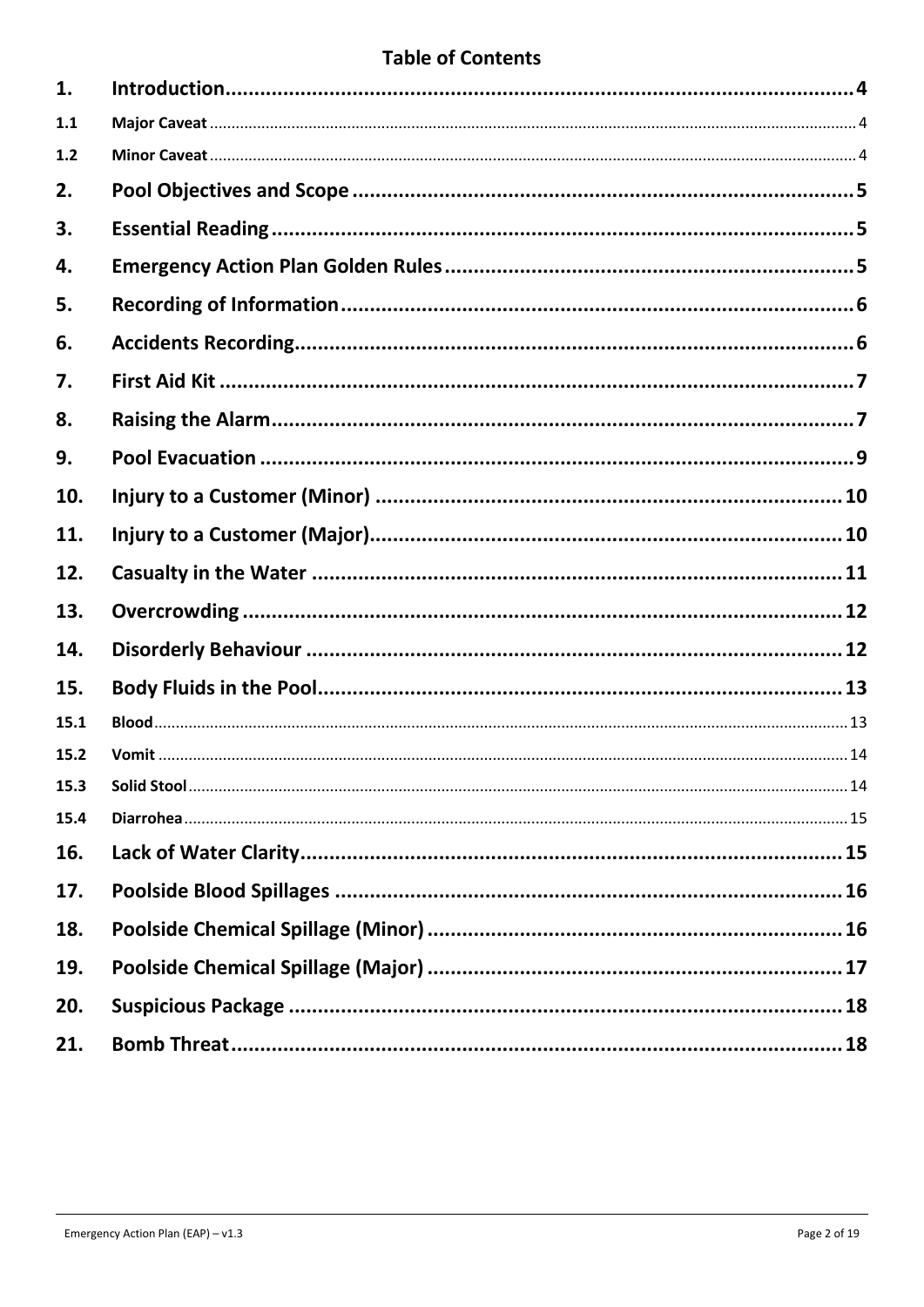#### **Table of Contents**

| 1.   |  |
|------|--|
| 1.1  |  |
| 1.2  |  |
| 2.   |  |
| 3.   |  |
| 4.   |  |
| 5.   |  |
| 6.   |  |
| 7.   |  |
| 8.   |  |
| 9.   |  |
| 10.  |  |
| 11.  |  |
| 12.  |  |
| 13.  |  |
| 14.  |  |
| 15.  |  |
| 15.1 |  |
| 15.2 |  |
| 15.3 |  |
| 15.4 |  |
| 16.  |  |
| 17.  |  |
| 18.  |  |
| 19.  |  |
| 20.  |  |
| 21.  |  |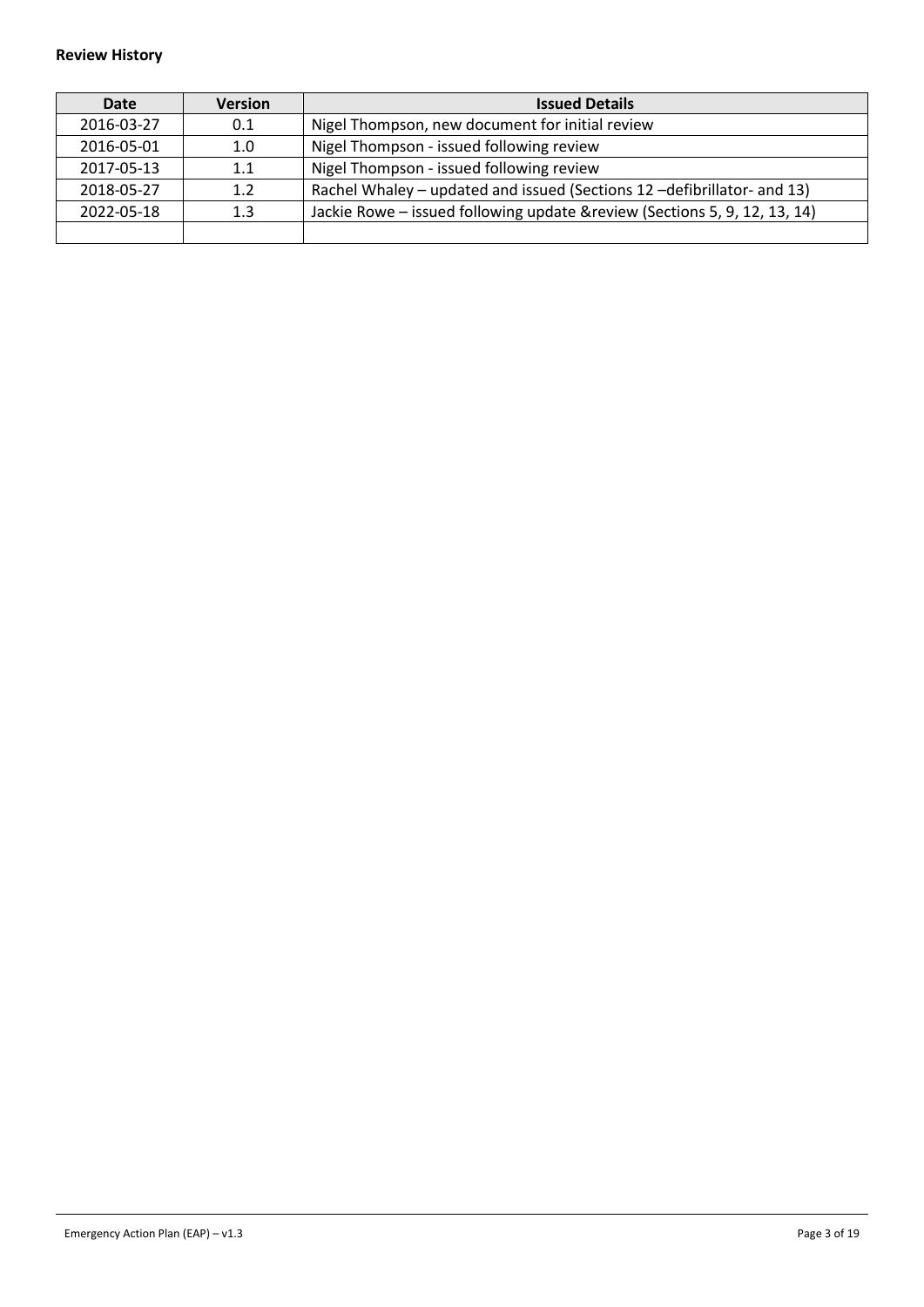#### **Review History**

| Date       | <b>Version</b>   | <b>Issued Details</b>                                                      |
|------------|------------------|----------------------------------------------------------------------------|
| 2016-03-27 | 0.1              | Nigel Thompson, new document for initial review                            |
| 2016-05-01 | 1.0              | Nigel Thompson - issued following review                                   |
| 2017-05-13 | 1.1              | Nigel Thompson - issued following review                                   |
| 2018-05-27 | 1.2 <sub>2</sub> | Rachel Whaley – updated and issued (Sections 12 – defibrillator- and 13)   |
| 2022-05-18 | 1.3              | Jackie Rowe - issued following update & review (Sections 5, 9, 12, 13, 14) |
|            |                  |                                                                            |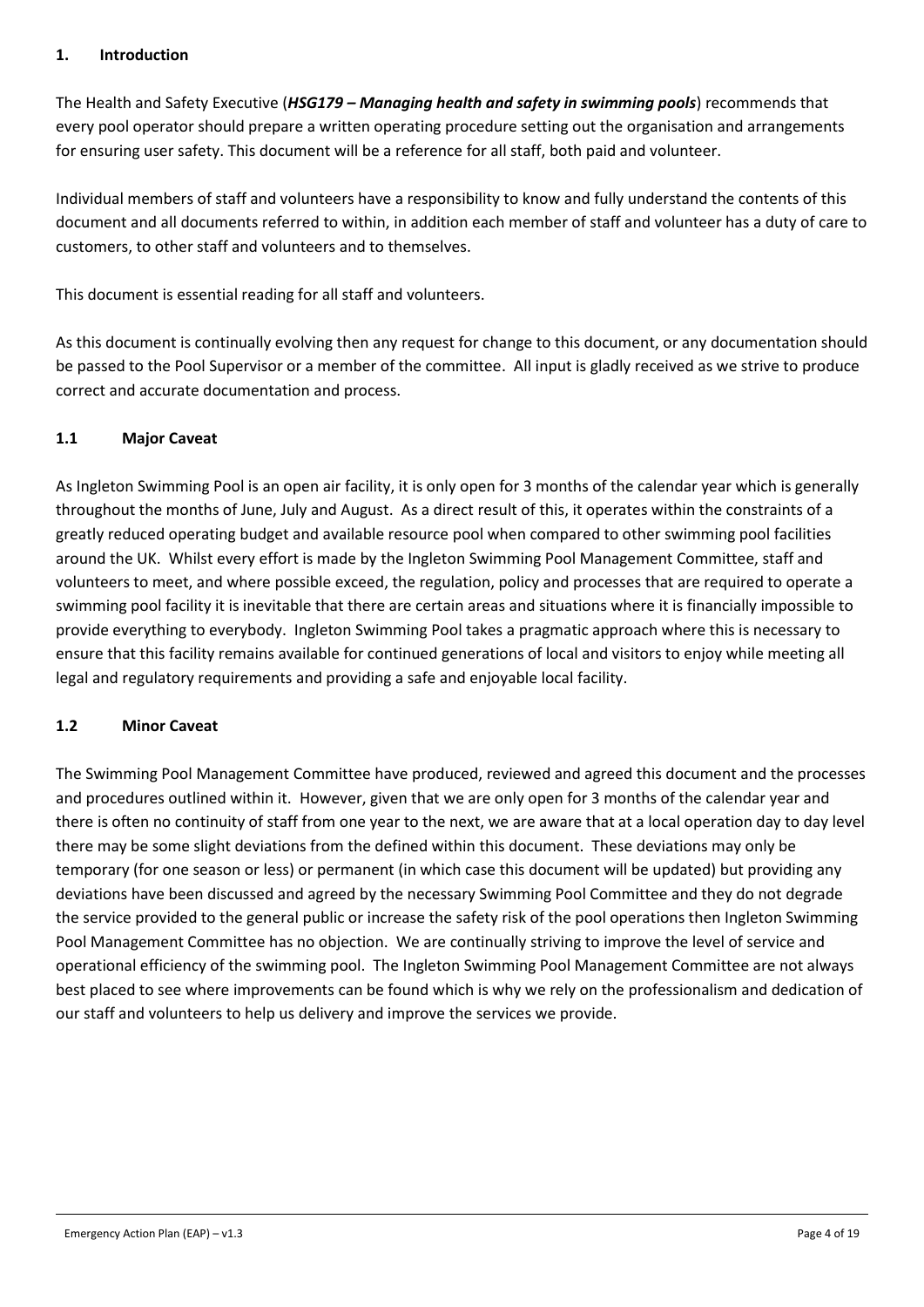#### <span id="page-3-0"></span>**1. Introduction**

The Health and Safety Executive (*HSG179 – Managing health and safety in swimming pools*) recommends that every pool operator should prepare a written operating procedure setting out the organisation and arrangements for ensuring user safety. This document will be a reference for all staff, both paid and volunteer.

Individual members of staff and volunteers have a responsibility to know and fully understand the contents of this document and all documents referred to within, in addition each member of staff and volunteer has a duty of care to customers, to other staff and volunteers and to themselves.

This document is essential reading for all staff and volunteers.

As this document is continually evolving then any request for change to this document, or any documentation should be passed to the Pool Supervisor or a member of the committee. All input is gladly received as we strive to produce correct and accurate documentation and process.

#### <span id="page-3-1"></span>**1.1 Major Caveat**

As Ingleton Swimming Pool is an open air facility, it is only open for 3 months of the calendar year which is generally throughout the months of June, July and August. As a direct result of this, it operates within the constraints of a greatly reduced operating budget and available resource pool when compared to other swimming pool facilities around the UK. Whilst every effort is made by the Ingleton Swimming Pool Management Committee, staff and volunteers to meet, and where possible exceed, the regulation, policy and processes that are required to operate a swimming pool facility it is inevitable that there are certain areas and situations where it is financially impossible to provide everything to everybody. Ingleton Swimming Pool takes a pragmatic approach where this is necessary to ensure that this facility remains available for continued generations of local and visitors to enjoy while meeting all legal and regulatory requirements and providing a safe and enjoyable local facility.

#### <span id="page-3-2"></span>**1.2 Minor Caveat**

The Swimming Pool Management Committee have produced, reviewed and agreed this document and the processes and procedures outlined within it. However, given that we are only open for 3 months of the calendar year and there is often no continuity of staff from one year to the next, we are aware that at a local operation day to day level there may be some slight deviations from the defined within this document. These deviations may only be temporary (for one season or less) or permanent (in which case this document will be updated) but providing any deviations have been discussed and agreed by the necessary Swimming Pool Committee and they do not degrade the service provided to the general public or increase the safety risk of the pool operations then Ingleton Swimming Pool Management Committee has no objection. We are continually striving to improve the level of service and operational efficiency of the swimming pool. The Ingleton Swimming Pool Management Committee are not always best placed to see where improvements can be found which is why we rely on the professionalism and dedication of our staff and volunteers to help us delivery and improve the services we provide.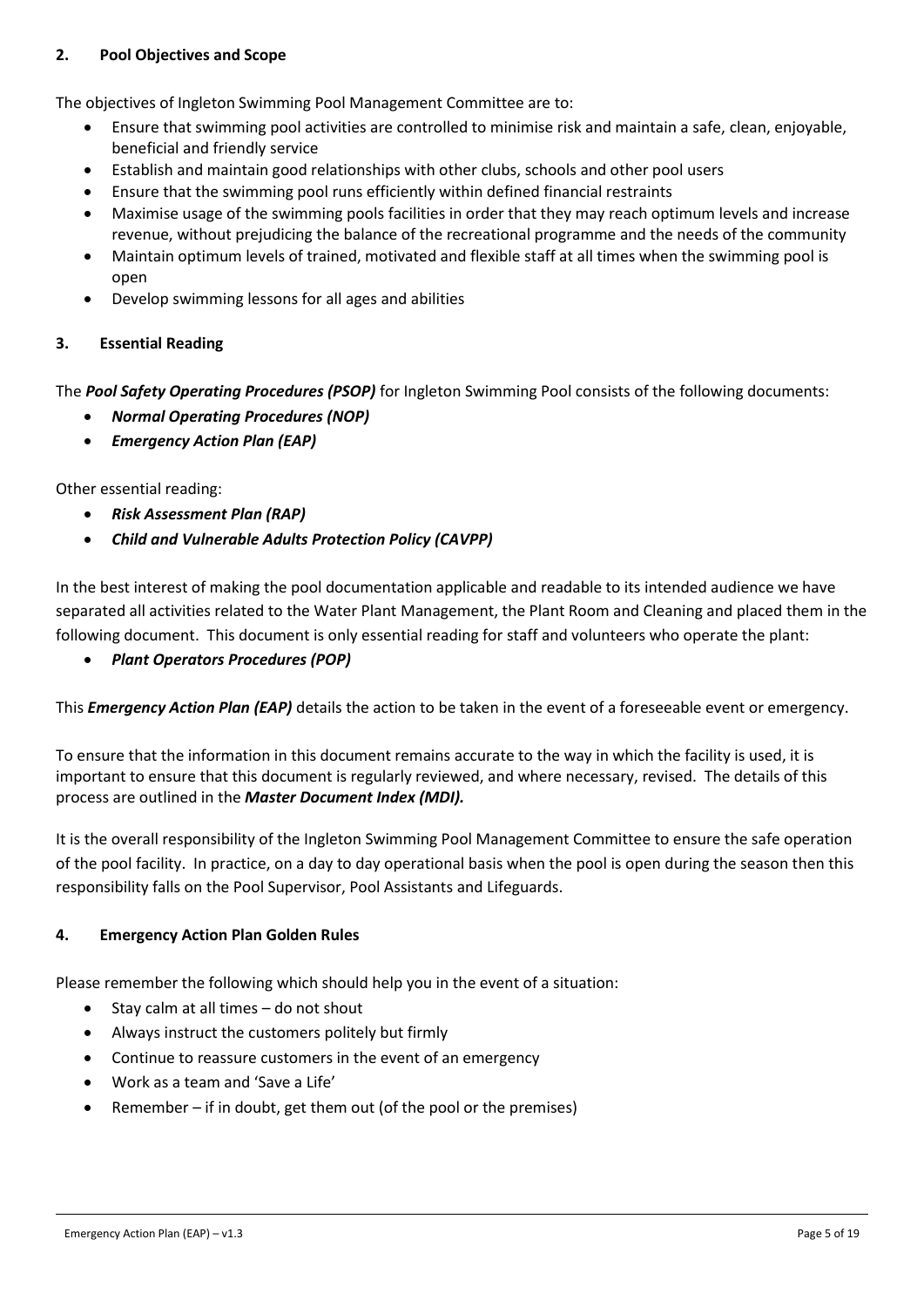#### <span id="page-4-0"></span>**2. Pool Objectives and Scope**

The objectives of Ingleton Swimming Pool Management Committee are to:

- Ensure that swimming pool activities are controlled to minimise risk and maintain a safe, clean, enjoyable, beneficial and friendly service
- Establish and maintain good relationships with other clubs, schools and other pool users
- Ensure that the swimming pool runs efficiently within defined financial restraints
- Maximise usage of the swimming pools facilities in order that they may reach optimum levels and increase revenue, without prejudicing the balance of the recreational programme and the needs of the community
- Maintain optimum levels of trained, motivated and flexible staff at all times when the swimming pool is open
- Develop swimming lessons for all ages and abilities

#### <span id="page-4-1"></span>**3. Essential Reading**

The *Pool Safety Operating Procedures (PSOP)* for Ingleton Swimming Pool consists of the following documents:

- *Normal Operating Procedures (NOP)*
- *Emergency Action Plan (EAP)*

Other essential reading:

- *Risk Assessment Plan (RAP)*
- *Child and Vulnerable Adults Protection Policy (CAVPP)*

In the best interest of making the pool documentation applicable and readable to its intended audience we have separated all activities related to the Water Plant Management, the Plant Room and Cleaning and placed them in the following document. This document is only essential reading for staff and volunteers who operate the plant:

• *Plant Operators Procedures (POP)*

This *Emergency Action Plan (EAP)* details the action to be taken in the event of a foreseeable event or emergency.

To ensure that the information in this document remains accurate to the way in which the facility is used, it is important to ensure that this document is regularly reviewed, and where necessary, revised. The details of this process are outlined in the *Master Document Index (MDI).*

It is the overall responsibility of the Ingleton Swimming Pool Management Committee to ensure the safe operation of the pool facility. In practice, on a day to day operational basis when the pool is open during the season then this responsibility falls on the Pool Supervisor, Pool Assistants and Lifeguards.

#### <span id="page-4-2"></span>**4. Emergency Action Plan Golden Rules**

Please remember the following which should help you in the event of a situation:

- Stay calm at all times do not shout
- Always instruct the customers politely but firmly
- Continue to reassure customers in the event of an emergency
- Work as a team and 'Save a Life'
- Remember if in doubt, get them out (of the pool or the premises)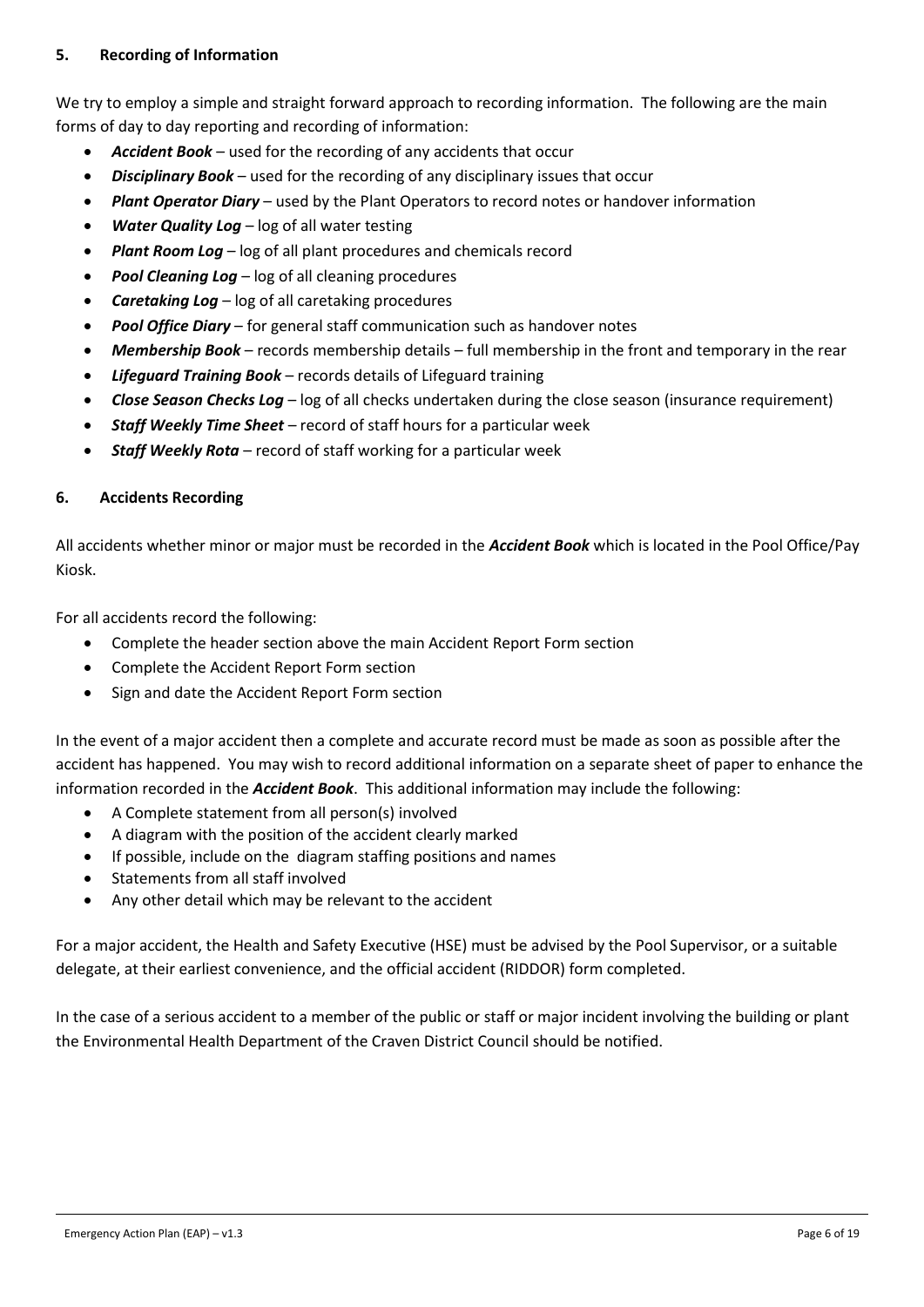#### <span id="page-5-0"></span>**5. Recording of Information**

We try to employ a simple and straight forward approach to recording information. The following are the main forms of day to day reporting and recording of information:

- *Accident Book* used for the recording of any accidents that occur
- *Disciplinary Book* used for the recording of any disciplinary issues that occur
- *Plant Operator Diary* used by the Plant Operators to record notes or handover information
- **Water Quality Log** log of all water testing
- *Plant Room Log* log of all plant procedures and chemicals record
- *Pool Cleaning Log* log of all cleaning procedures
- *Caretaking Log*  log of all caretaking procedures
- *Pool Office Diary* for general staff communication such as handover notes
- *Membership Book* records membership details full membership in the front and temporary in the rear
- *Lifeguard Training Book* records details of Lifeguard training
- *Close Season Checks Log* log of all checks undertaken during the close season (insurance requirement)
- *Staff Weekly Time Sheet* record of staff hours for a particular week
- *Staff Weekly Rota* record of staff working for a particular week

#### <span id="page-5-1"></span>**6. Accidents Recording**

All accidents whether minor or major must be recorded in the *Accident Book* which is located in the Pool Office/Pay Kiosk.

For all accidents record the following:

- Complete the header section above the main Accident Report Form section
- Complete the Accident Report Form section
- Sign and date the Accident Report Form section

In the event of a major accident then a complete and accurate record must be made as soon as possible after the accident has happened. You may wish to record additional information on a separate sheet of paper to enhance the information recorded in the *Accident Book*. This additional information may include the following:

- A Complete statement from all person(s) involved
- A diagram with the position of the accident clearly marked
- If possible, include on the diagram staffing positions and names
- Statements from all staff involved
- Any other detail which may be relevant to the accident

For a major accident, the Health and Safety Executive (HSE) must be advised by the Pool Supervisor, or a suitable delegate, at their earliest convenience, and the official accident (RIDDOR) form completed.

In the case of a serious accident to a member of the public or staff or major incident involving the building or plant the Environmental Health Department of the Craven District Council should be notified.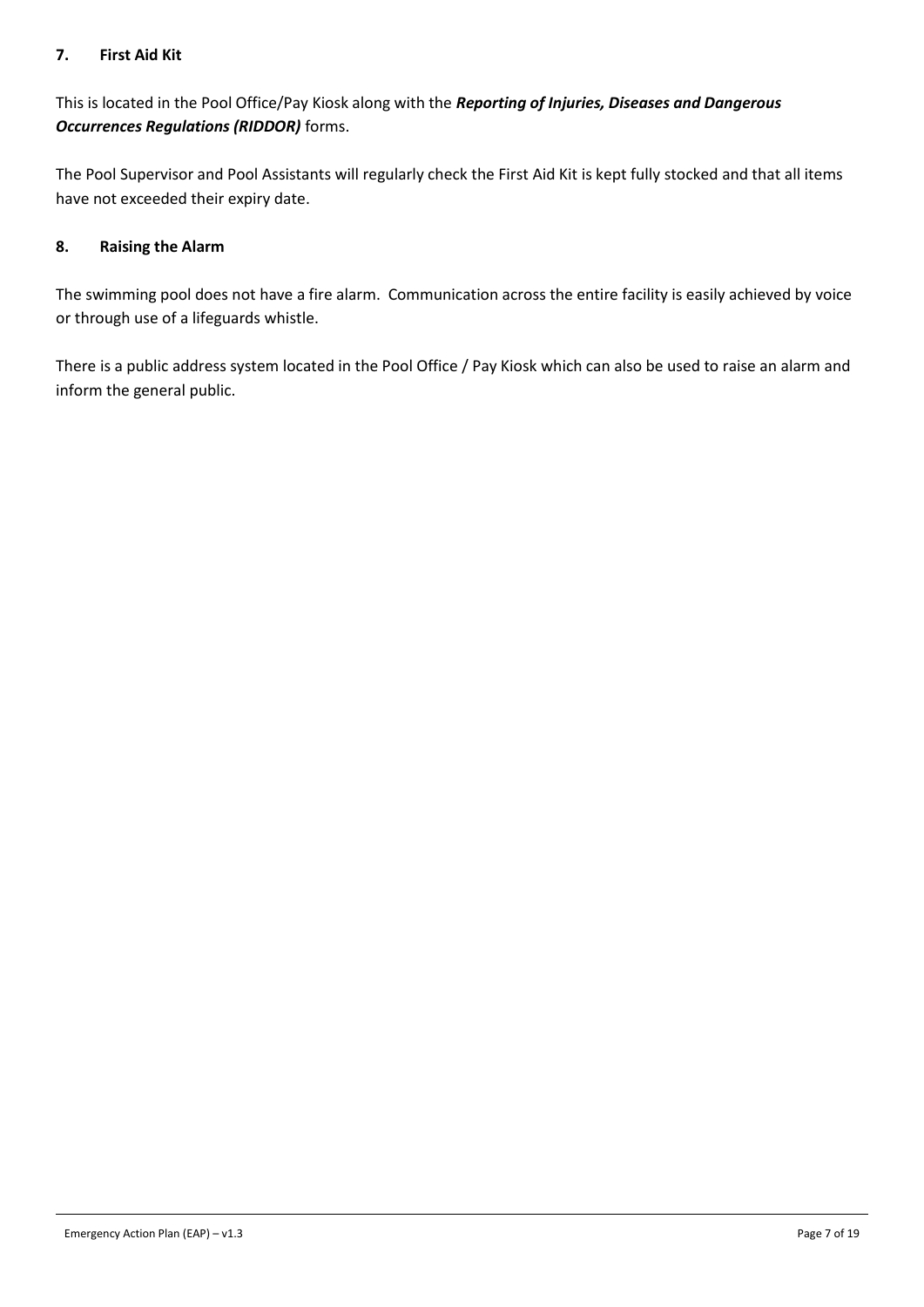#### <span id="page-6-0"></span>**7. First Aid Kit**

This is located in the Pool Office/Pay Kiosk along with the *Reporting of Injuries, Diseases and Dangerous Occurrences Regulations (RIDDOR)* forms.

The Pool Supervisor and Pool Assistants will regularly check the First Aid Kit is kept fully stocked and that all items have not exceeded their expiry date.

#### <span id="page-6-1"></span>**8. Raising the Alarm**

The swimming pool does not have a fire alarm. Communication across the entire facility is easily achieved by voice or through use of a lifeguards whistle.

There is a public address system located in the Pool Office / Pay Kiosk which can also be used to raise an alarm and inform the general public.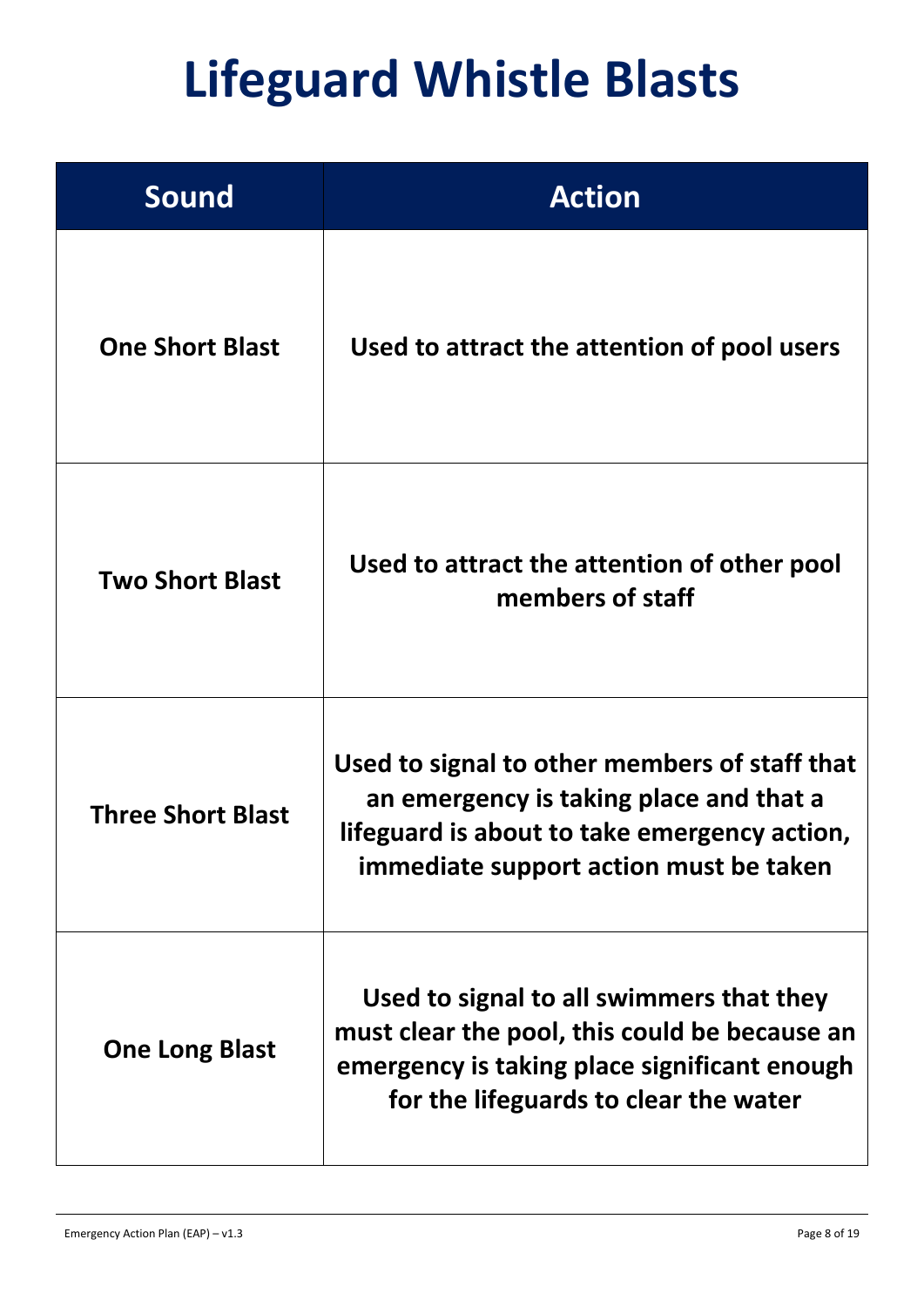## **Lifeguard Whistle Blasts**

| <b>Sound</b>             | <b>Action</b>                                                                                                                                                                      |  |  |
|--------------------------|------------------------------------------------------------------------------------------------------------------------------------------------------------------------------------|--|--|
| <b>One Short Blast</b>   | Used to attract the attention of pool users                                                                                                                                        |  |  |
| <b>Two Short Blast</b>   | Used to attract the attention of other pool<br>members of staff                                                                                                                    |  |  |
| <b>Three Short Blast</b> | Used to signal to other members of staff that<br>an emergency is taking place and that a<br>lifeguard is about to take emergency action,<br>immediate support action must be taken |  |  |
| <b>One Long Blast</b>    | Used to signal to all swimmers that they<br>must clear the pool, this could be because an<br>emergency is taking place significant enough<br>for the lifeguards to clear the water |  |  |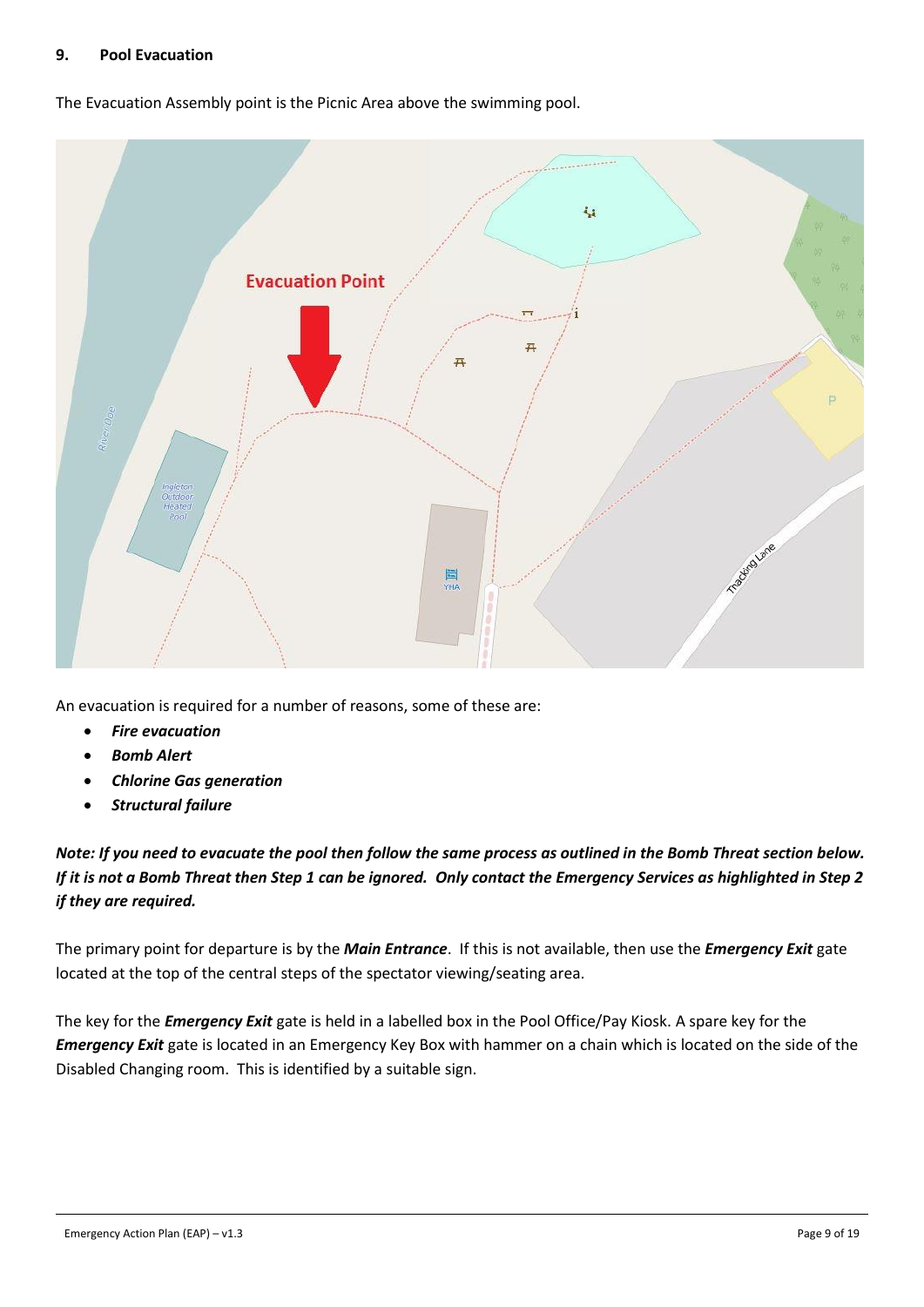#### <span id="page-8-0"></span>**9. Pool Evacuation**

The Evacuation Assembly point is the Picnic Area above the swimming pool.



An evacuation is required for a number of reasons, some of these are:

- *Fire evacuation*
- *Bomb Alert*
- *Chlorine Gas generation*
- *Structural failure*

*Note: If you need to evacuate the pool then follow the same process as outlined in the Bomb Threat section below. If it is not a Bomb Threat then Step 1 can be ignored. Only contact the Emergency Services as highlighted in Step 2 if they are required.*

The primary point for departure is by the *Main Entrance*. If this is not available, then use the *Emergency Exit* gate located at the top of the central steps of the spectator viewing/seating area.

The key for the *Emergency Exit* gate is held in a labelled box in the Pool Office/Pay Kiosk. A spare key for the *Emergency Exit* gate is located in an Emergency Key Box with hammer on a chain which is located on the side of the Disabled Changing room. This is identified by a suitable sign.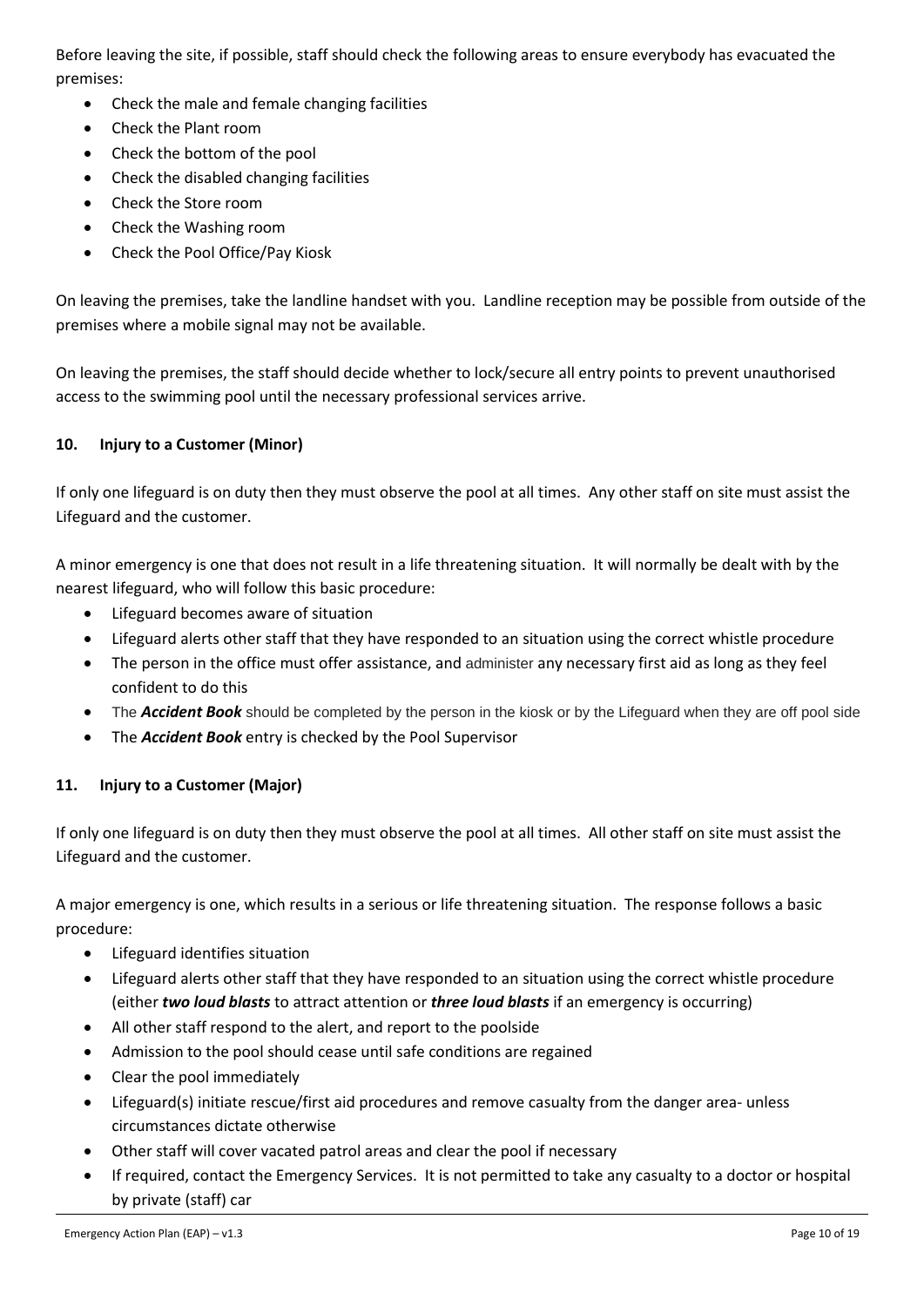Before leaving the site, if possible, staff should check the following areas to ensure everybody has evacuated the premises:

- Check the male and female changing facilities
- Check the Plant room
- Check the bottom of the pool
- Check the disabled changing facilities
- Check the Store room
- Check the Washing room
- Check the Pool Office/Pay Kiosk

On leaving the premises, take the landline handset with you. Landline reception may be possible from outside of the premises where a mobile signal may not be available.

On leaving the premises, the staff should decide whether to lock/secure all entry points to prevent unauthorised access to the swimming pool until the necessary professional services arrive.

#### <span id="page-9-0"></span>**10. Injury to a Customer (Minor)**

If only one lifeguard is on duty then they must observe the pool at all times. Any other staff on site must assist the Lifeguard and the customer.

A minor emergency is one that does not result in a life threatening situation. It will normally be dealt with by the nearest lifeguard, who will follow this basic procedure:

- Lifeguard becomes aware of situation
- Lifeguard alerts other staff that they have responded to an situation using the correct whistle procedure
- The person in the office must offer assistance, and administer any necessary first aid as long as they feel confident to do this
- The *Accident Book* should be completed by the person in the kiosk or by the Lifeguard when they are off pool side
- The *Accident Book* entry is checked by the Pool Supervisor

#### <span id="page-9-1"></span>**11. Injury to a Customer (Major)**

If only one lifeguard is on duty then they must observe the pool at all times. All other staff on site must assist the Lifeguard and the customer.

A major emergency is one, which results in a serious or life threatening situation. The response follows a basic procedure:

- Lifeguard identifies situation
- Lifeguard alerts other staff that they have responded to an situation using the correct whistle procedure (either *two loud blasts* to attract attention or *three loud blasts* if an emergency is occurring)
- All other staff respond to the alert, and report to the poolside
- Admission to the pool should cease until safe conditions are regained
- Clear the pool immediately
- Lifeguard(s) initiate rescue/first aid procedures and remove casualty from the danger area- unless circumstances dictate otherwise
- Other staff will cover vacated patrol areas and clear the pool if necessary
- If required, contact the Emergency Services. It is not permitted to take any casualty to a doctor or hospital by private (staff) car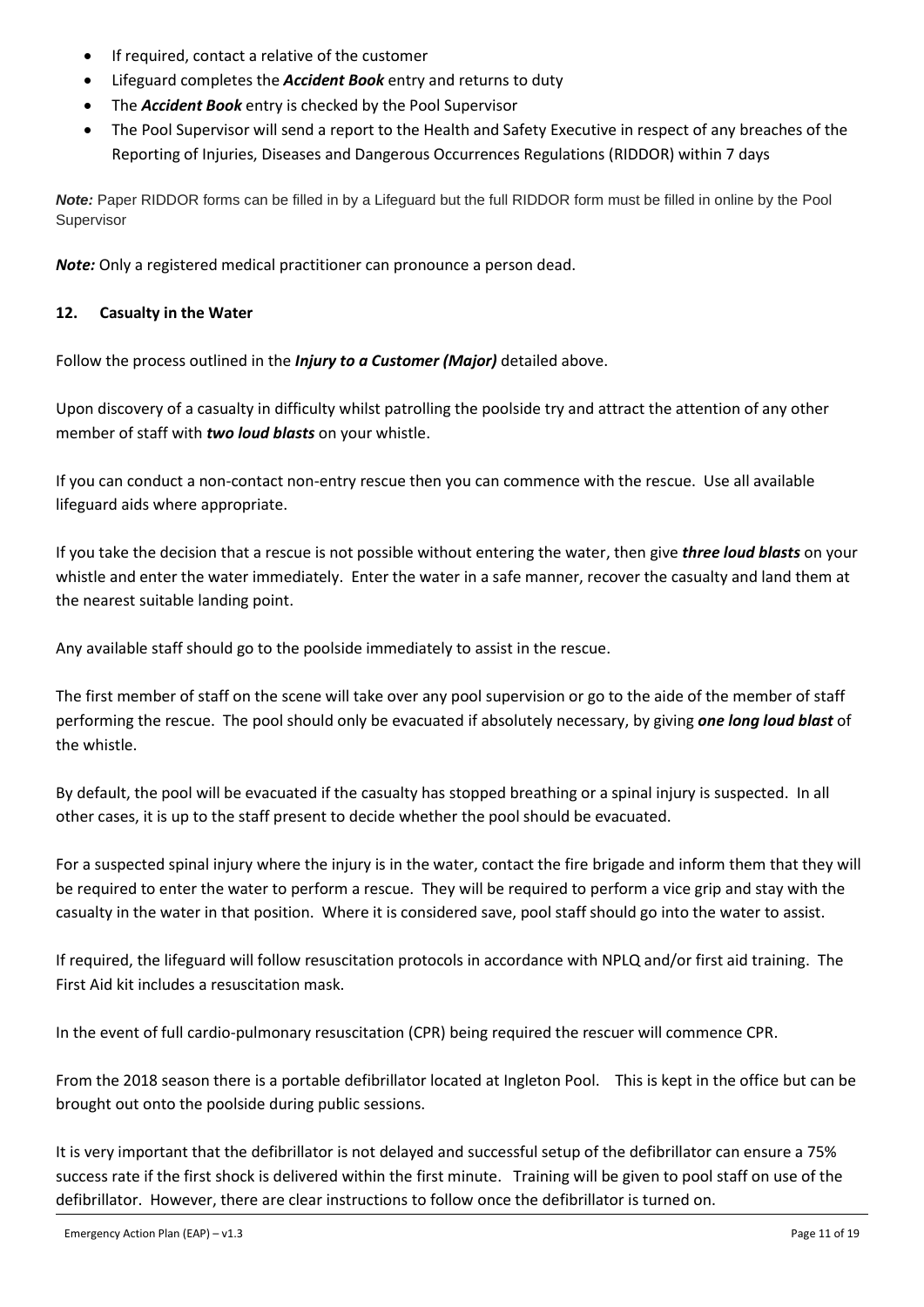- If required, contact a relative of the customer
- Lifeguard completes the *Accident Book* entry and returns to duty
- The *Accident Book* entry is checked by the Pool Supervisor
- The Pool Supervisor will send a report to the Health and Safety Executive in respect of any breaches of the Reporting of Injuries, Diseases and Dangerous Occurrences Regulations (RIDDOR) within 7 days

*Note:* Paper RIDDOR forms can be filled in by a Lifeguard but the full RIDDOR form must be filled in online by the Pool **Supervisor** 

*Note:* Only a registered medical practitioner can pronounce a person dead.

#### <span id="page-10-0"></span>**12. Casualty in the Water**

Follow the process outlined in the *Injury to a Customer (Major)* detailed above.

Upon discovery of a casualty in difficulty whilst patrolling the poolside try and attract the attention of any other member of staff with *two loud blasts* on your whistle.

If you can conduct a non-contact non-entry rescue then you can commence with the rescue. Use all available lifeguard aids where appropriate.

If you take the decision that a rescue is not possible without entering the water, then give *three loud blasts* on your whistle and enter the water immediately. Enter the water in a safe manner, recover the casualty and land them at the nearest suitable landing point.

Any available staff should go to the poolside immediately to assist in the rescue.

The first member of staff on the scene will take over any pool supervision or go to the aide of the member of staff performing the rescue. The pool should only be evacuated if absolutely necessary, by giving *one long loud blast* of the whistle.

By default, the pool will be evacuated if the casualty has stopped breathing or a spinal injury is suspected. In all other cases, it is up to the staff present to decide whether the pool should be evacuated.

For a suspected spinal injury where the injury is in the water, contact the fire brigade and inform them that they will be required to enter the water to perform a rescue. They will be required to perform a vice grip and stay with the casualty in the water in that position. Where it is considered save, pool staff should go into the water to assist.

If required, the lifeguard will follow resuscitation protocols in accordance with NPLQ and/or first aid training. The First Aid kit includes a resuscitation mask.

In the event of full cardio-pulmonary resuscitation (CPR) being required the rescuer will commence CPR.

From the 2018 season there is a portable defibrillator located at Ingleton Pool. This is kept in the office but can be brought out onto the poolside during public sessions.

It is very important that the defibrillator is not delayed and successful setup of the defibrillator can ensure a 75% success rate if the first shock is delivered within the first minute. Training will be given to pool staff on use of the defibrillator. However, there are clear instructions to follow once the defibrillator is turned on.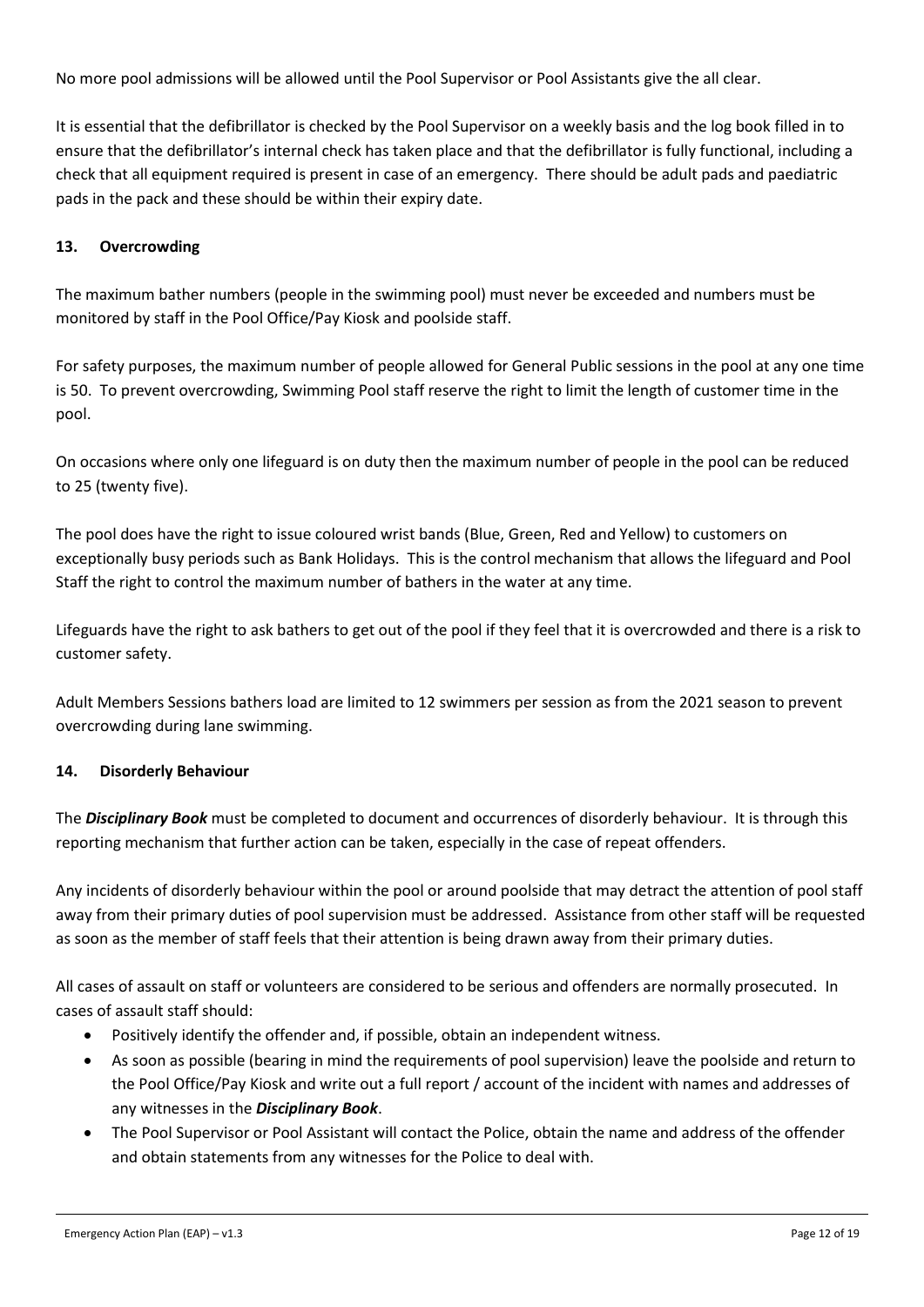No more pool admissions will be allowed until the Pool Supervisor or Pool Assistants give the all clear.

It is essential that the defibrillator is checked by the Pool Supervisor on a weekly basis and the log book filled in to ensure that the defibrillator's internal check has taken place and that the defibrillator is fully functional, including a check that all equipment required is present in case of an emergency. There should be adult pads and paediatric pads in the pack and these should be within their expiry date.

#### <span id="page-11-0"></span>**13. Overcrowding**

The maximum bather numbers (people in the swimming pool) must never be exceeded and numbers must be monitored by staff in the Pool Office/Pay Kiosk and poolside staff.

For safety purposes, the maximum number of people allowed for General Public sessions in the pool at any one time is 50. To prevent overcrowding, Swimming Pool staff reserve the right to limit the length of customer time in the pool.

On occasions where only one lifeguard is on duty then the maximum number of people in the pool can be reduced to 25 (twenty five).

The pool does have the right to issue coloured wrist bands (Blue, Green, Red and Yellow) to customers on exceptionally busy periods such as Bank Holidays. This is the control mechanism that allows the lifeguard and Pool Staff the right to control the maximum number of bathers in the water at any time.

Lifeguards have the right to ask bathers to get out of the pool if they feel that it is overcrowded and there is a risk to customer safety.

Adult Members Sessions bathers load are limited to 12 swimmers per session as from the 2021 season to prevent overcrowding during lane swimming.

#### <span id="page-11-1"></span>**14. Disorderly Behaviour**

The *Disciplinary Book* must be completed to document and occurrences of disorderly behaviour. It is through this reporting mechanism that further action can be taken, especially in the case of repeat offenders.

Any incidents of disorderly behaviour within the pool or around poolside that may detract the attention of pool staff away from their primary duties of pool supervision must be addressed. Assistance from other staff will be requested as soon as the member of staff feels that their attention is being drawn away from their primary duties.

All cases of assault on staff or volunteers are considered to be serious and offenders are normally prosecuted. In cases of assault staff should:

- Positively identify the offender and, if possible, obtain an independent witness.
- As soon as possible (bearing in mind the requirements of pool supervision) leave the poolside and return to the Pool Office/Pay Kiosk and write out a full report / account of the incident with names and addresses of any witnesses in the *Disciplinary Book*.
- The Pool Supervisor or Pool Assistant will contact the Police, obtain the name and address of the offender and obtain statements from any witnesses for the Police to deal with.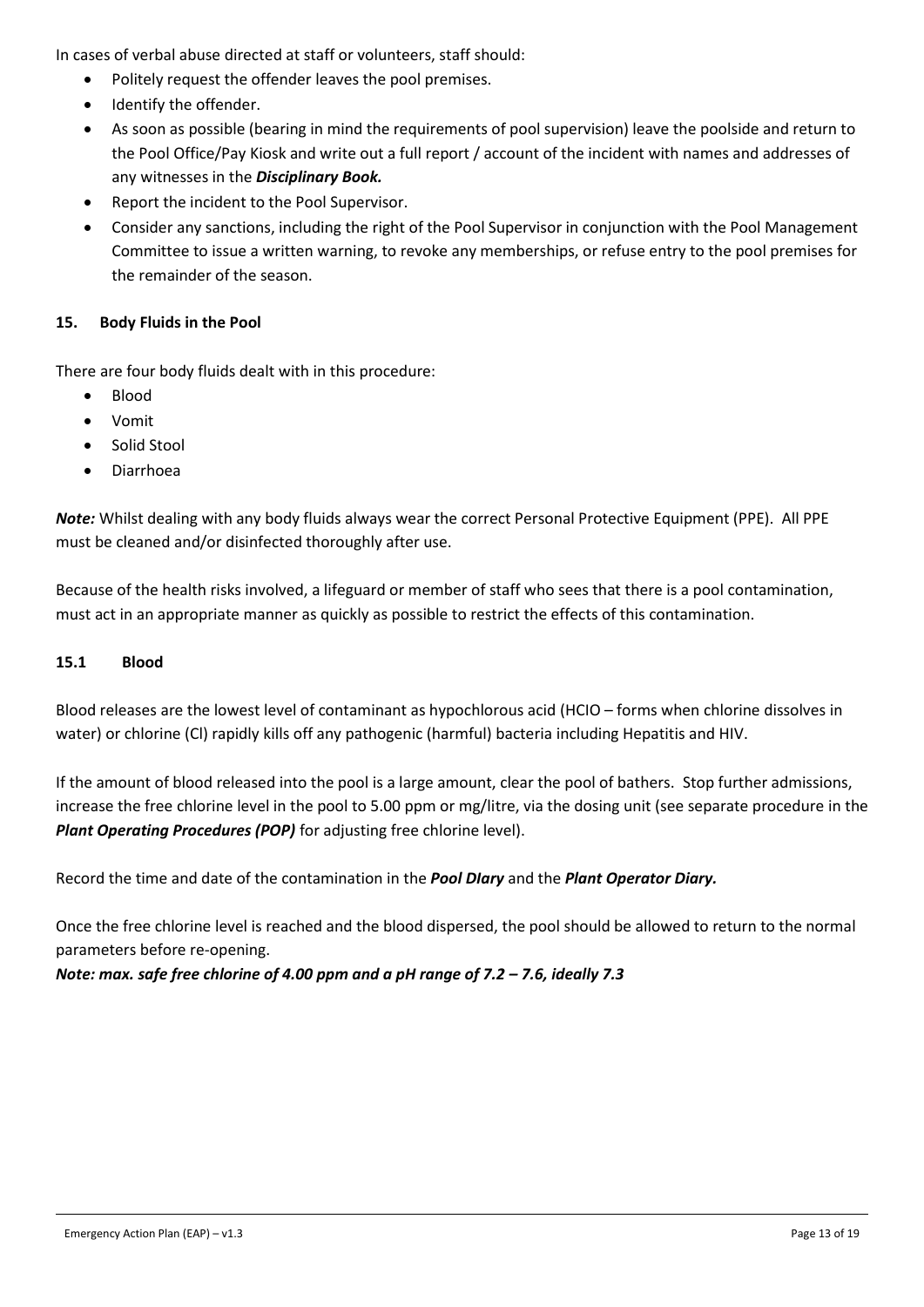In cases of verbal abuse directed at staff or volunteers, staff should:

- Politely request the offender leaves the pool premises.
- Identify the offender.
- As soon as possible (bearing in mind the requirements of pool supervision) leave the poolside and return to the Pool Office/Pay Kiosk and write out a full report / account of the incident with names and addresses of any witnesses in the *Disciplinary Book.*
- Report the incident to the Pool Supervisor.
- Consider any sanctions, including the right of the Pool Supervisor in conjunction with the Pool Management Committee to issue a written warning, to revoke any memberships, or refuse entry to the pool premises for the remainder of the season.

#### <span id="page-12-0"></span>**15. Body Fluids in the Pool**

There are four body fluids dealt with in this procedure:

- Blood
- Vomit
- Solid Stool
- Diarrhoea

*Note:* Whilst dealing with any body fluids always wear the correct Personal Protective Equipment (PPE). All PPE must be cleaned and/or disinfected thoroughly after use.

Because of the health risks involved, a lifeguard or member of staff who sees that there is a pool contamination, must act in an appropriate manner as quickly as possible to restrict the effects of this contamination.

#### <span id="page-12-1"></span>**15.1 Blood**

Blood releases are the lowest level of contaminant as hypochlorous acid (HCIO – forms when chlorine dissolves in water) or chlorine (Cl) rapidly kills off any pathogenic (harmful) bacteria including Hepatitis and HIV.

If the amount of blood released into the pool is a large amount, clear the pool of bathers. Stop further admissions, increase the free chlorine level in the pool to 5.00 ppm or mg/litre, via the dosing unit (see separate procedure in the *Plant Operating Procedures (POP)* for adjusting free chlorine level).

Record the time and date of the contamination in the *Pool DIary* and the *Plant Operator Diary.*

Once the free chlorine level is reached and the blood dispersed, the pool should be allowed to return to the normal parameters before re-opening.

*Note: max. safe free chlorine of 4.00 ppm and a pH range of 7.2 – 7.6, ideally 7.3*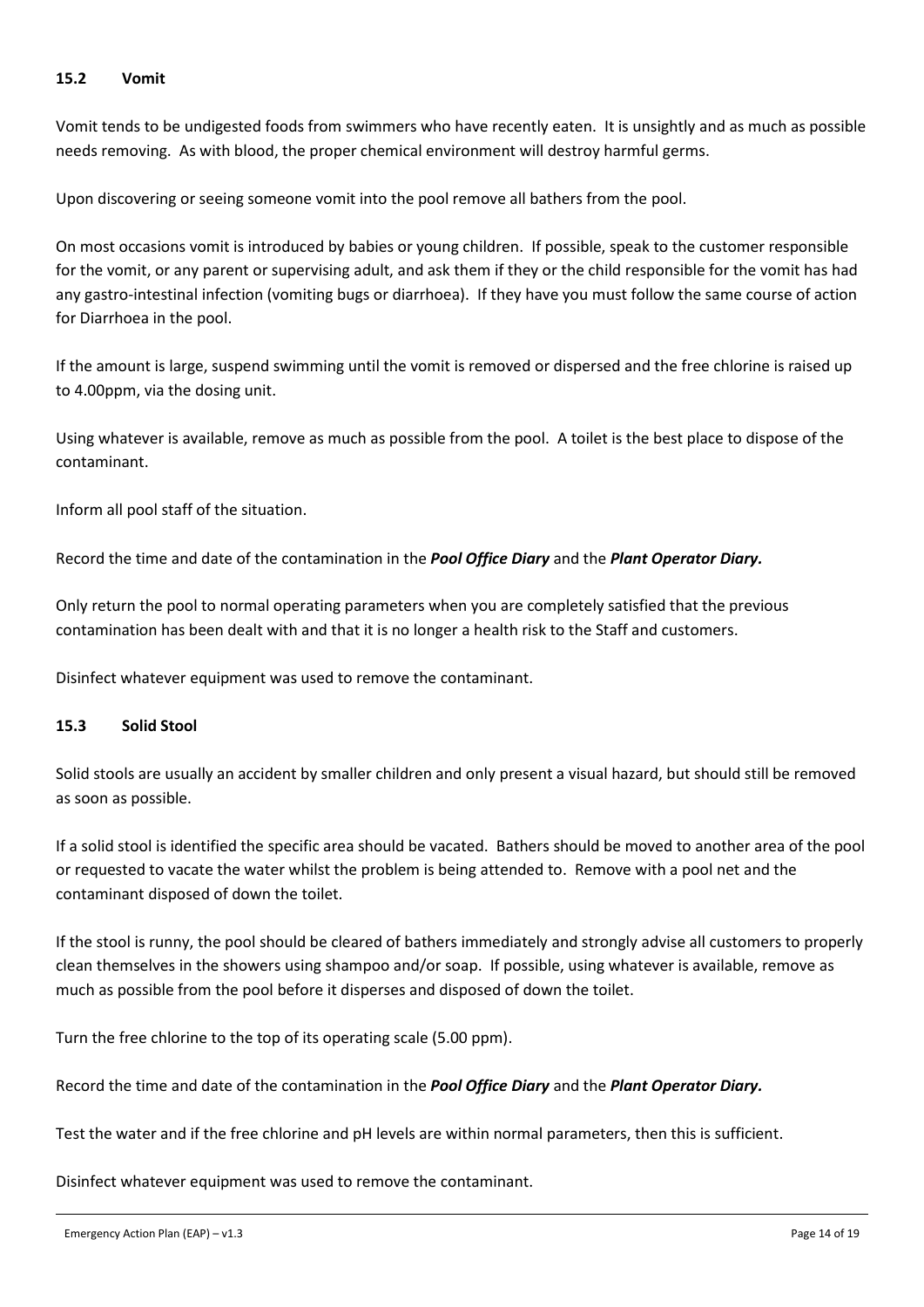#### <span id="page-13-0"></span>**15.2 Vomit**

Vomit tends to be undigested foods from swimmers who have recently eaten. It is unsightly and as much as possible needs removing. As with blood, the proper chemical environment will destroy harmful germs.

Upon discovering or seeing someone vomit into the pool remove all bathers from the pool.

On most occasions vomit is introduced by babies or young children. If possible, speak to the customer responsible for the vomit, or any parent or supervising adult, and ask them if they or the child responsible for the vomit has had any gastro-intestinal infection (vomiting bugs or diarrhoea). If they have you must follow the same course of action for Diarrhoea in the pool.

If the amount is large, suspend swimming until the vomit is removed or dispersed and the free chlorine is raised up to 4.00ppm, via the dosing unit.

Using whatever is available, remove as much as possible from the pool. A toilet is the best place to dispose of the contaminant.

Inform all pool staff of the situation.

Record the time and date of the contamination in the *Pool Office Diary* and the *Plant Operator Diary.*

Only return the pool to normal operating parameters when you are completely satisfied that the previous contamination has been dealt with and that it is no longer a health risk to the Staff and customers.

Disinfect whatever equipment was used to remove the contaminant.

#### <span id="page-13-1"></span>**15.3 Solid Stool**

Solid stools are usually an accident by smaller children and only present a visual hazard, but should still be removed as soon as possible.

If a solid stool is identified the specific area should be vacated. Bathers should be moved to another area of the pool or requested to vacate the water whilst the problem is being attended to. Remove with a pool net and the contaminant disposed of down the toilet.

If the stool is runny, the pool should be cleared of bathers immediately and strongly advise all customers to properly clean themselves in the showers using shampoo and/or soap. If possible, using whatever is available, remove as much as possible from the pool before it disperses and disposed of down the toilet.

Turn the free chlorine to the top of its operating scale (5.00 ppm).

Record the time and date of the contamination in the *Pool Office Diary* and the *Plant Operator Diary.*

Test the water and if the free chlorine and pH levels are within normal parameters, then this is sufficient.

Disinfect whatever equipment was used to remove the contaminant.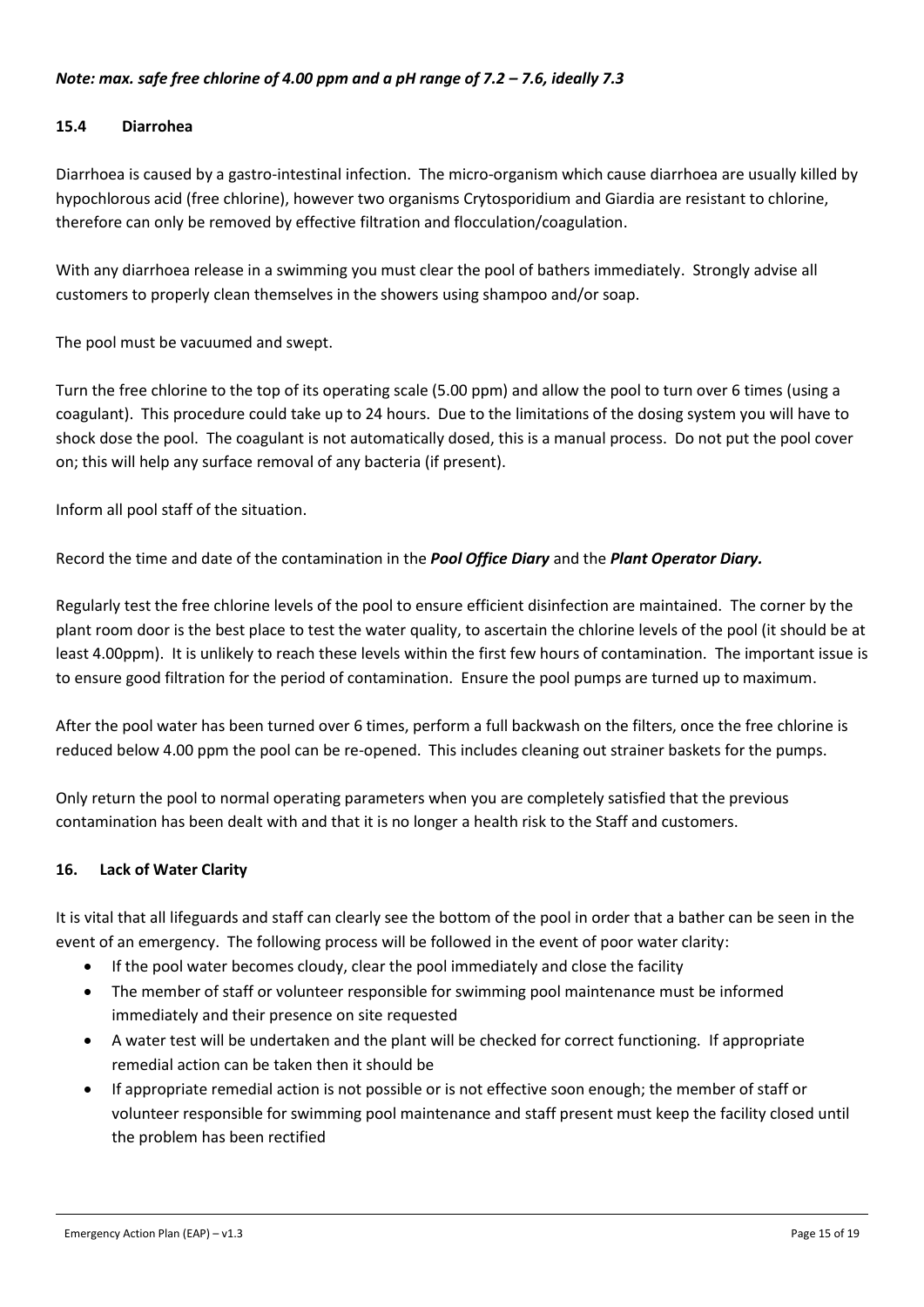#### *Note: max. safe free chlorine of 4.00 ppm and a pH range of 7.2 – 7.6, ideally 7.3*

#### <span id="page-14-0"></span>**15.4 Diarrohea**

Diarrhoea is caused by a gastro-intestinal infection. The micro-organism which cause diarrhoea are usually killed by hypochlorous acid (free chlorine), however two organisms Crytosporidium and Giardia are resistant to chlorine, therefore can only be removed by effective filtration and flocculation/coagulation.

With any diarrhoea release in a swimming you must clear the pool of bathers immediately. Strongly advise all customers to properly clean themselves in the showers using shampoo and/or soap.

The pool must be vacuumed and swept.

Turn the free chlorine to the top of its operating scale (5.00 ppm) and allow the pool to turn over 6 times (using a coagulant). This procedure could take up to 24 hours. Due to the limitations of the dosing system you will have to shock dose the pool. The coagulant is not automatically dosed, this is a manual process. Do not put the pool cover on; this will help any surface removal of any bacteria (if present).

Inform all pool staff of the situation.

Record the time and date of the contamination in the *Pool Office Diary* and the *Plant Operator Diary.*

Regularly test the free chlorine levels of the pool to ensure efficient disinfection are maintained. The corner by the plant room door is the best place to test the water quality, to ascertain the chlorine levels of the pool (it should be at least 4.00ppm). It is unlikely to reach these levels within the first few hours of contamination. The important issue is to ensure good filtration for the period of contamination. Ensure the pool pumps are turned up to maximum.

After the pool water has been turned over 6 times, perform a full backwash on the filters, once the free chlorine is reduced below 4.00 ppm the pool can be re-opened. This includes cleaning out strainer baskets for the pumps.

Only return the pool to normal operating parameters when you are completely satisfied that the previous contamination has been dealt with and that it is no longer a health risk to the Staff and customers.

#### <span id="page-14-1"></span>**16. Lack of Water Clarity**

It is vital that all lifeguards and staff can clearly see the bottom of the pool in order that a bather can be seen in the event of an emergency. The following process will be followed in the event of poor water clarity:

- If the pool water becomes cloudy, clear the pool immediately and close the facility
- The member of staff or volunteer responsible for swimming pool maintenance must be informed immediately and their presence on site requested
- A water test will be undertaken and the plant will be checked for correct functioning. If appropriate remedial action can be taken then it should be
- If appropriate remedial action is not possible or is not effective soon enough; the member of staff or volunteer responsible for swimming pool maintenance and staff present must keep the facility closed until the problem has been rectified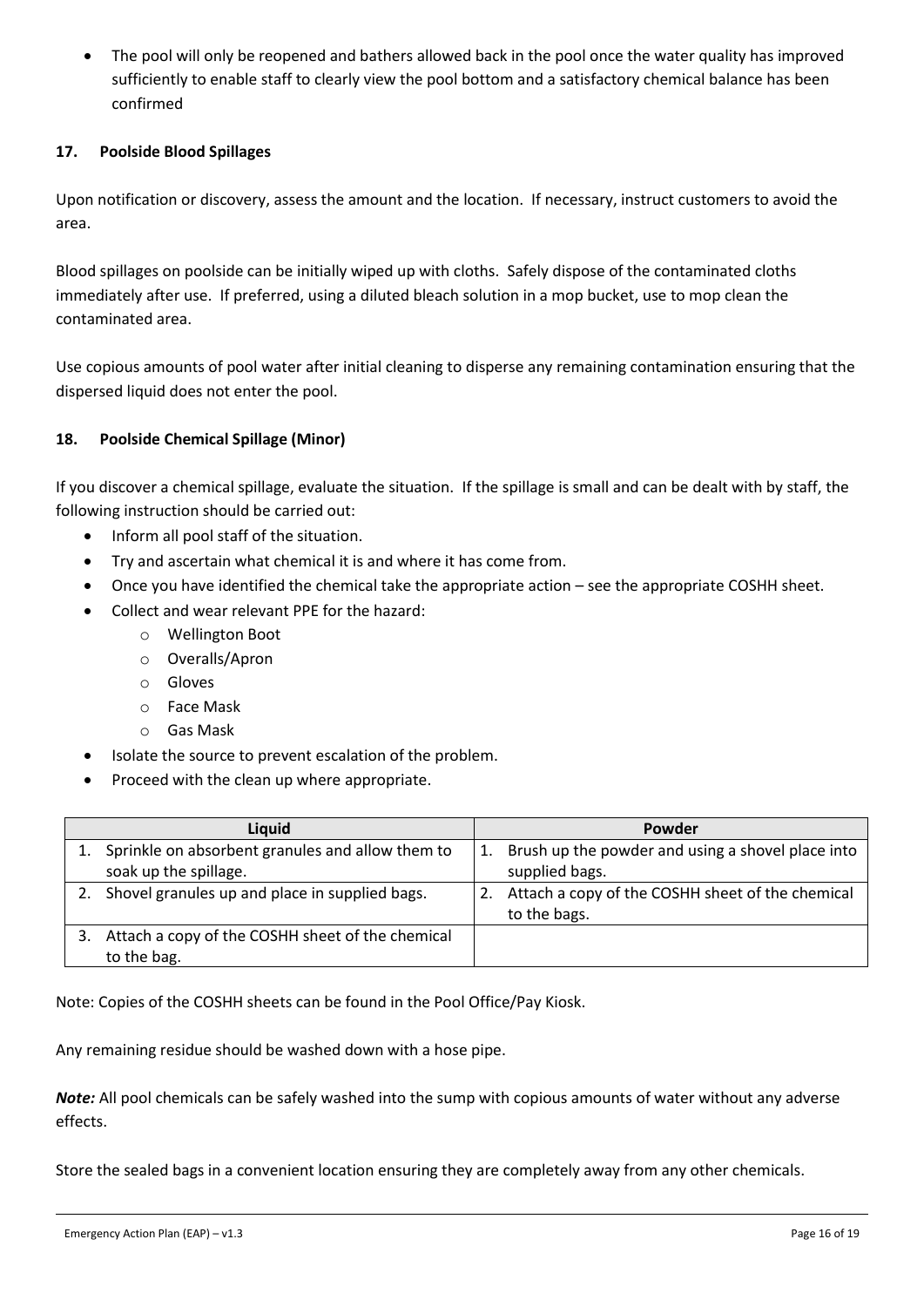• The pool will only be reopened and bathers allowed back in the pool once the water quality has improved sufficiently to enable staff to clearly view the pool bottom and a satisfactory chemical balance has been confirmed

#### <span id="page-15-0"></span>**17. Poolside Blood Spillages**

Upon notification or discovery, assess the amount and the location. If necessary, instruct customers to avoid the area.

Blood spillages on poolside can be initially wiped up with cloths. Safely dispose of the contaminated cloths immediately after use. If preferred, using a diluted bleach solution in a mop bucket, use to mop clean the contaminated area.

Use copious amounts of pool water after initial cleaning to disperse any remaining contamination ensuring that the dispersed liquid does not enter the pool.

#### <span id="page-15-1"></span>**18. Poolside Chemical Spillage (Minor)**

If you discover a chemical spillage, evaluate the situation. If the spillage is small and can be dealt with by staff, the following instruction should be carried out:

- Inform all pool staff of the situation.
- Try and ascertain what chemical it is and where it has come from.
- Once you have identified the chemical take the appropriate action see the appropriate COSHH sheet.
- Collect and wear relevant PPE for the hazard:
	- o Wellington Boot
	- o Overalls/Apron
	- o Gloves
	- o Face Mask
	- o Gas Mask
- Isolate the source to prevent escalation of the problem.
- Proceed with the clean up where appropriate.

| Liquid                                            |    | Powder                                            |
|---------------------------------------------------|----|---------------------------------------------------|
| Sprinkle on absorbent granules and allow them to  | 1. | Brush up the powder and using a shovel place into |
| soak up the spillage.                             |    | supplied bags.                                    |
| 2. Shovel granules up and place in supplied bags. | 2. | Attach a copy of the COSHH sheet of the chemical  |
|                                                   |    | to the bags.                                      |
| Attach a copy of the COSHH sheet of the chemical  |    |                                                   |
| to the bag.                                       |    |                                                   |

Note: Copies of the COSHH sheets can be found in the Pool Office/Pay Kiosk.

Any remaining residue should be washed down with a hose pipe.

*Note:* All pool chemicals can be safely washed into the sump with copious amounts of water without any adverse effects.

Store the sealed bags in a convenient location ensuring they are completely away from any other chemicals.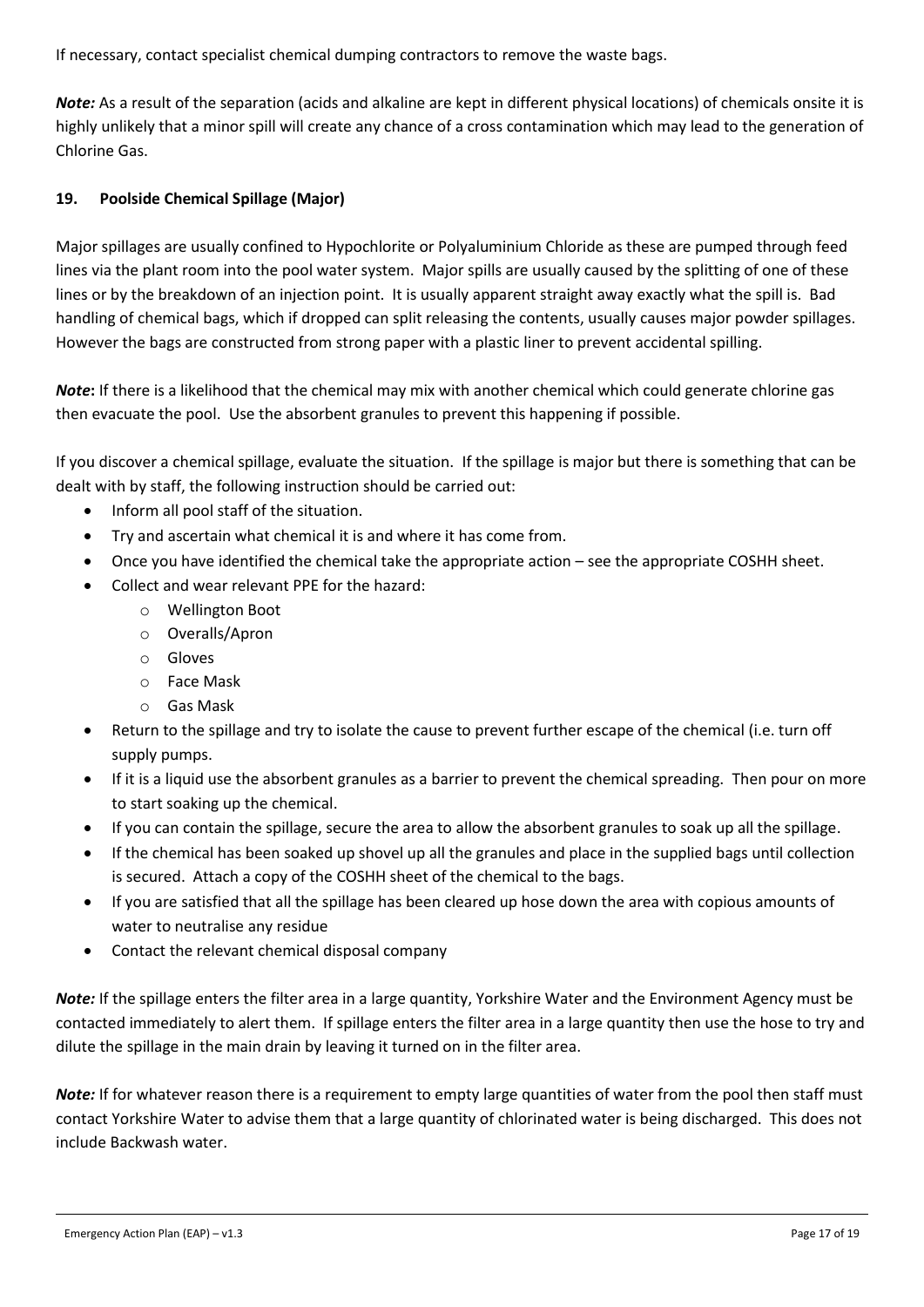If necessary, contact specialist chemical dumping contractors to remove the waste bags.

*Note:* As a result of the separation (acids and alkaline are kept in different physical locations) of chemicals onsite it is highly unlikely that a minor spill will create any chance of a cross contamination which may lead to the generation of Chlorine Gas.

#### <span id="page-16-0"></span>**19. Poolside Chemical Spillage (Major)**

Major spillages are usually confined to Hypochlorite or Polyaluminium Chloride as these are pumped through feed lines via the plant room into the pool water system. Major spills are usually caused by the splitting of one of these lines or by the breakdown of an injection point. It is usually apparent straight away exactly what the spill is. Bad handling of chemical bags, which if dropped can split releasing the contents, usually causes major powder spillages. However the bags are constructed from strong paper with a plastic liner to prevent accidental spilling.

*Note***:** If there is a likelihood that the chemical may mix with another chemical which could generate chlorine gas then evacuate the pool. Use the absorbent granules to prevent this happening if possible.

If you discover a chemical spillage, evaluate the situation. If the spillage is major but there is something that can be dealt with by staff, the following instruction should be carried out:

- Inform all pool staff of the situation.
- Try and ascertain what chemical it is and where it has come from.
- Once you have identified the chemical take the appropriate action see the appropriate COSHH sheet.
- Collect and wear relevant PPE for the hazard:
	- o Wellington Boot
	- o Overalls/Apron
	- o Gloves
	- o Face Mask
	- o Gas Mask
- Return to the spillage and try to isolate the cause to prevent further escape of the chemical (i.e. turn off supply pumps.
- If it is a liquid use the absorbent granules as a barrier to prevent the chemical spreading. Then pour on more to start soaking up the chemical.
- If you can contain the spillage, secure the area to allow the absorbent granules to soak up all the spillage.
- If the chemical has been soaked up shovel up all the granules and place in the supplied bags until collection is secured. Attach a copy of the COSHH sheet of the chemical to the bags.
- If you are satisfied that all the spillage has been cleared up hose down the area with copious amounts of water to neutralise any residue
- Contact the relevant chemical disposal company

*Note:* If the spillage enters the filter area in a large quantity, Yorkshire Water and the Environment Agency must be contacted immediately to alert them. If spillage enters the filter area in a large quantity then use the hose to try and dilute the spillage in the main drain by leaving it turned on in the filter area.

*Note:* If for whatever reason there is a requirement to empty large quantities of water from the pool then staff must contact Yorkshire Water to advise them that a large quantity of chlorinated water is being discharged. This does not include Backwash water.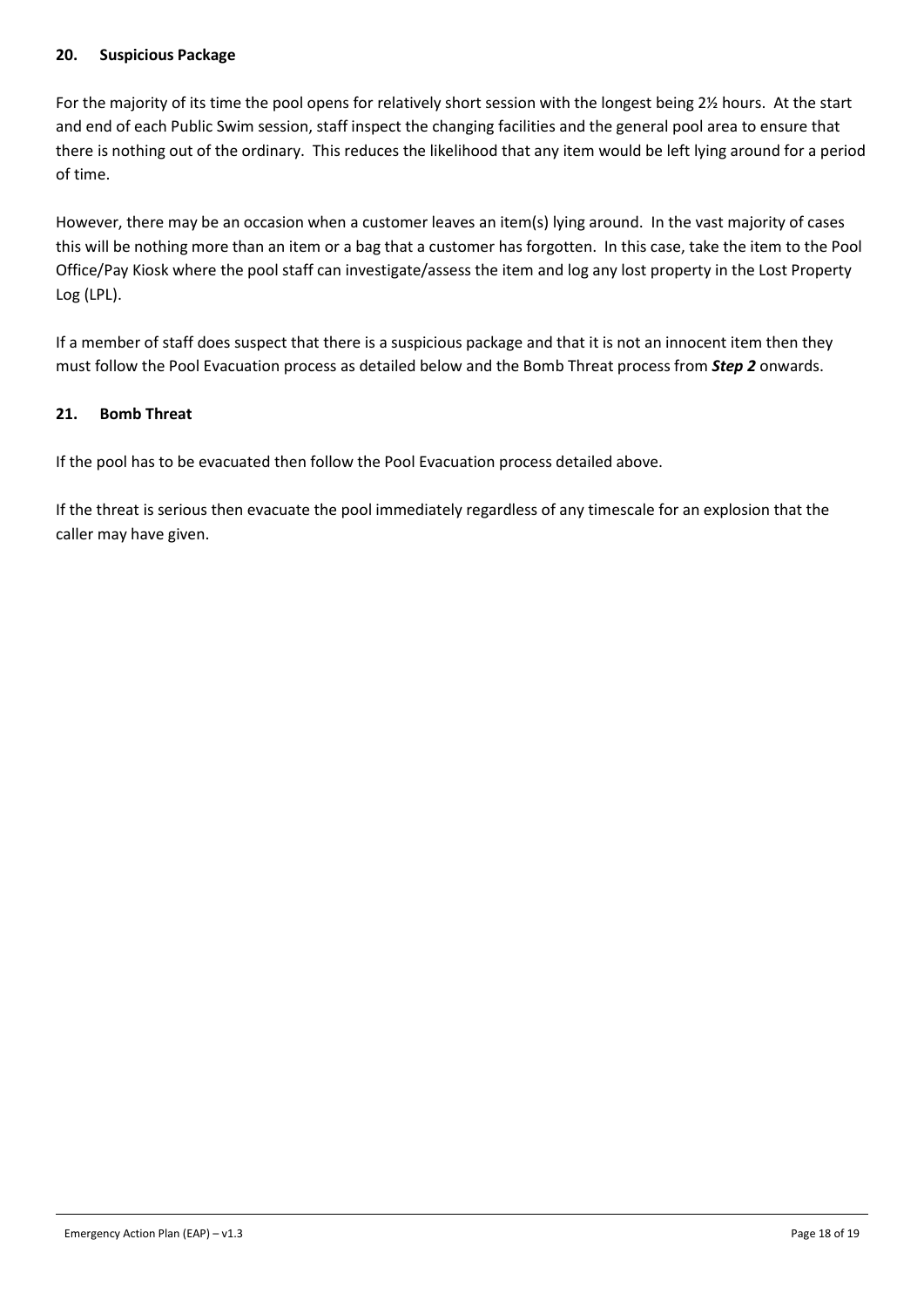#### <span id="page-17-0"></span>**20. Suspicious Package**

For the majority of its time the pool opens for relatively short session with the longest being 2½ hours. At the start and end of each Public Swim session, staff inspect the changing facilities and the general pool area to ensure that there is nothing out of the ordinary. This reduces the likelihood that any item would be left lying around for a period of time.

However, there may be an occasion when a customer leaves an item(s) lying around. In the vast majority of cases this will be nothing more than an item or a bag that a customer has forgotten. In this case, take the item to the Pool Office/Pay Kiosk where the pool staff can investigate/assess the item and log any lost property in the Lost Property Log (LPL).

If a member of staff does suspect that there is a suspicious package and that it is not an innocent item then they must follow the Pool Evacuation process as detailed below and the Bomb Threat process from *Step 2* onwards.

#### <span id="page-17-1"></span>**21. Bomb Threat**

If the pool has to be evacuated then follow the Pool Evacuation process detailed above.

If the threat is serious then evacuate the pool immediately regardless of any timescale for an explosion that the caller may have given.